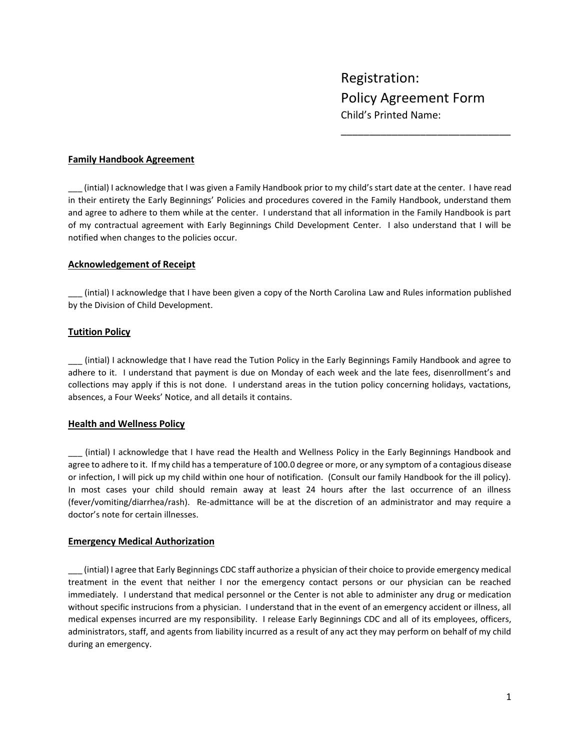\_\_\_\_\_\_\_\_\_\_\_\_\_\_\_\_\_\_\_\_\_\_\_\_\_\_\_\_\_\_

## **Family Handbook Agreement**

\_\_\_ (intial) I acknowledge that I was given a Family Handbook prior to my child's start date at the center. I have read in their entirety the Early Beginnings' Policies and procedures covered in the Family Handbook, understand them and agree to adhere to them while at the center. I understand that all information in the Family Handbook is part of my contractual agreement with Early Beginnings Child Development Center. I also understand that I will be notified when changes to the policies occur.

## **Acknowledgement of Receipt**

\_\_\_ (intial) I acknowledge that I have been given a copy of the North Carolina Law and Rules information published by the Division of Child Development.

# **Tutition Policy**

\_\_\_ (intial) I acknowledge that I have read the Tution Policy in the Early Beginnings Family Handbook and agree to adhere to it. I understand that payment is due on Monday of each week and the late fees, disenrollment's and collections may apply if this is not done. I understand areas in the tution policy concerning holidays, vactations, absences, a Four Weeks' Notice, and all details it contains.

## **Health and Wellness Policy**

\_\_\_ (intial) I acknowledge that I have read the Health and Wellness Policy in the Early Beginnings Handbook and agree to adhere to it. If my child has a temperature of 100.0 degree or more, or any symptom of a contagious disease or infection, I will pick up my child within one hour of notification. (Consult our family Handbook for the ill policy). In most cases your child should remain away at least 24 hours after the last occurrence of an illness (fever/vomiting/diarrhea/rash). Re-admittance will be at the discretion of an administrator and may require a doctor's note for certain illnesses.

## **Emergency Medical Authorization**

\_\_\_ (intial) I agree that Early Beginnings CDC staff authorize a physician of their choice to provide emergency medical treatment in the event that neither I nor the emergency contact persons or our physician can be reached immediately. I understand that medical personnel or the Center is not able to administer any drug or medication without specific instrucions from a physician. I understand that in the event of an emergency accident or illness, all medical expenses incurred are my responsibility. I release Early Beginnings CDC and all of its employees, officers, administrators, staff, and agents from liability incurred as a result of any act they may perform on behalf of my child during an emergency.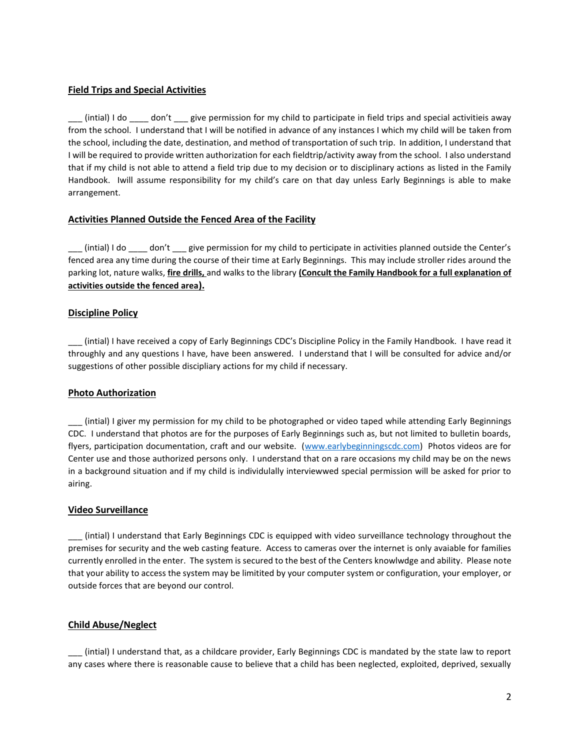# **Field Trips and Special Activities**

 $($ intial) I do  $\qquad$  don't  $\qquad$  give permission for my child to participate in field trips and special activitieis away from the school. I understand that I will be notified in advance of any instances I which my child will be taken from the school, including the date, destination, and method of transportation of such trip. In addition, I understand that I will be required to provide written authorization for each fieldtrip/activity away from the school. I also understand that if my child is not able to attend a field trip due to my decision or to disciplinary actions as listed in the Family Handbook. Iwill assume responsibility for my child's care on that day unless Early Beginnings is able to make arrangement.

## **Activities Planned Outside the Fenced Area of the Facility**

\_\_\_ (intial) I do \_\_\_\_ don't \_\_\_ give permission for my child to perticipate in activities planned outside the Center's fenced area any time during the course of their time at Early Beginnings. This may include stroller rides around the parking lot, nature walks, **fire drills,** and walks to the library **(Concult the Family Handbook for a full explanation of activities outside the fenced area).**

# **Discipline Policy**

\_\_\_ (intial) I have received a copy of Early Beginnings CDC's Discipline Policy in the Family Handbook. I have read it throughly and any questions I have, have been answered. I understand that I will be consulted for advice and/or suggestions of other possible discipliary actions for my child if necessary.

# **Photo Authorization**

\_\_\_ (intial) I giver my permission for my child to be photographed or video taped while attending Early Beginnings CDC. I understand that photos are for the purposes of Early Beginnings such as, but not limited to bulletin boards, flyers, participation documentation, craft and our website. [\(www.earlybeginningscdc.com\)](http://www.earlybeginningscdc.com/) Photos videos are for Center use and those authorized persons only. I understand that on a rare occasions my child may be on the news in a background situation and if my child is individulally interviewwed special permission will be asked for prior to airing.

## **Video Surveillance**

\_\_\_ (intial) I understand that Early Beginnings CDC is equipped with video surveillance technology throughout the premises for security and the web casting feature. Access to cameras over the internet is only avaiable for families currently enrolled in the enter. The system is secured to the best of the Centers knowlwdge and ability. Please note that your ability to access the system may be limitited by your computer system or configuration, your employer, or outside forces that are beyond our control.

## **Child Abuse/Neglect**

\_\_\_ (intial) I understand that, as a childcare provider, Early Beginnings CDC is mandated by the state law to report any cases where there is reasonable cause to believe that a child has been neglected, exploited, deprived, sexually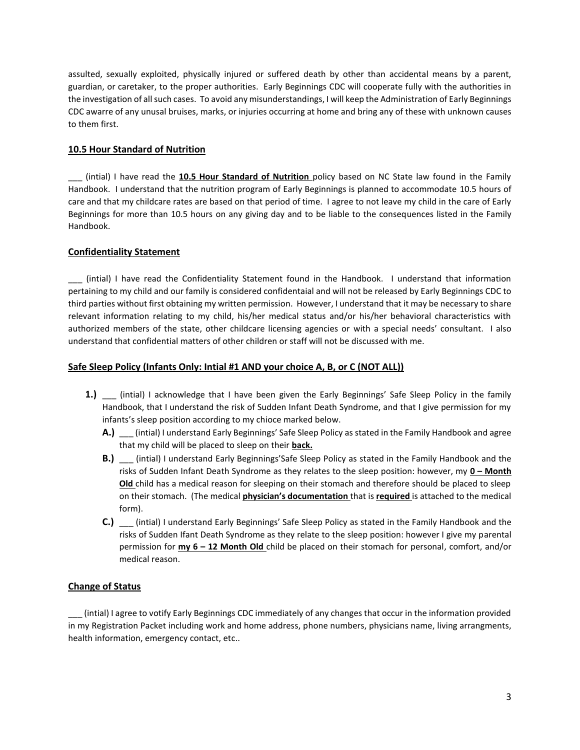assulted, sexually exploited, physically injured or suffered death by other than accidental means by a parent, guardian, or caretaker, to the proper authorities. Early Beginnings CDC will cooperate fully with the authorities in the investigation of all such cases. To avoid any misunderstandings, I will keep the Administration of Early Beginnings CDC awarre of any unusal bruises, marks, or injuries occurring at home and bring any of these with unknown causes to them first.

# **10.5 Hour Standard of Nutrition**

\_\_\_ (intial) I have read the **10.5 Hour Standard of Nutrition** policy based on NC State law found in the Family Handbook. I understand that the nutrition program of Early Beginnings is planned to accommodate 10.5 hours of care and that my childcare rates are based on that period of time. I agree to not leave my child in the care of Early Beginnings for more than 10.5 hours on any giving day and to be liable to the consequences listed in the Family Handbook.

# **Confidentiality Statement**

\_\_\_ (intial) I have read the Confidentiality Statement found in the Handbook. I understand that information pertaining to my child and our family is considered confidentaial and will not be released by Early Beginnings CDC to third parties without first obtaining my written permission. However, I understand that it may be necessary to share relevant information relating to my child, his/her medical status and/or his/her behavioral characteristics with authorized members of the state, other childcare licensing agencies or with a special needs' consultant. I also understand that confidential matters of other children or staff will not be discussed with me.

# **Safe Sleep Policy (Infants Only: Intial #1 AND your choice A, B, or C (NOT ALL))**

- **1.)** \_\_\_ (intial) I acknowledge that I have been given the Early Beginnings' Safe Sleep Policy in the family Handbook, that I understand the risk of Sudden Infant Death Syndrome, and that I give permission for my infants's sleep position according to my chioce marked below.
	- **A.)** \_\_\_ (intial) I understand Early Beginnings' Safe Sleep Policy as stated in the Family Handbook and agree that my child will be placed to sleep on their **back.**
	- **B.)** \_\_\_ (intial) I understand Early Beginnings'Safe Sleep Policy as stated in the Family Handbook and the risks of Sudden Infant Death Syndrome as they relates to the sleep position: however, my **0 – Month Old** child has a medical reason for sleeping on their stomach and therefore should be placed to sleep on their stomach. (The medical **physician's documentation** that is **required** is attached to the medical form).
	- **C.)** \_\_\_ (intial) I understand Early Beginnings' Safe Sleep Policy as stated in the Family Handbook and the risks of Sudden Ifant Death Syndrome as they relate to the sleep position: however I give my parental permission for **my 6 – 12 Month Old** child be placed on their stomach for personal, comfort, and/or medical reason.

# **Change of Status**

\_\_\_ (intial) I agree to votify Early Beginnings CDC immediately of any changes that occur in the information provided in my Registration Packet including work and home address, phone numbers, physicians name, living arrangments, health information, emergency contact, etc..